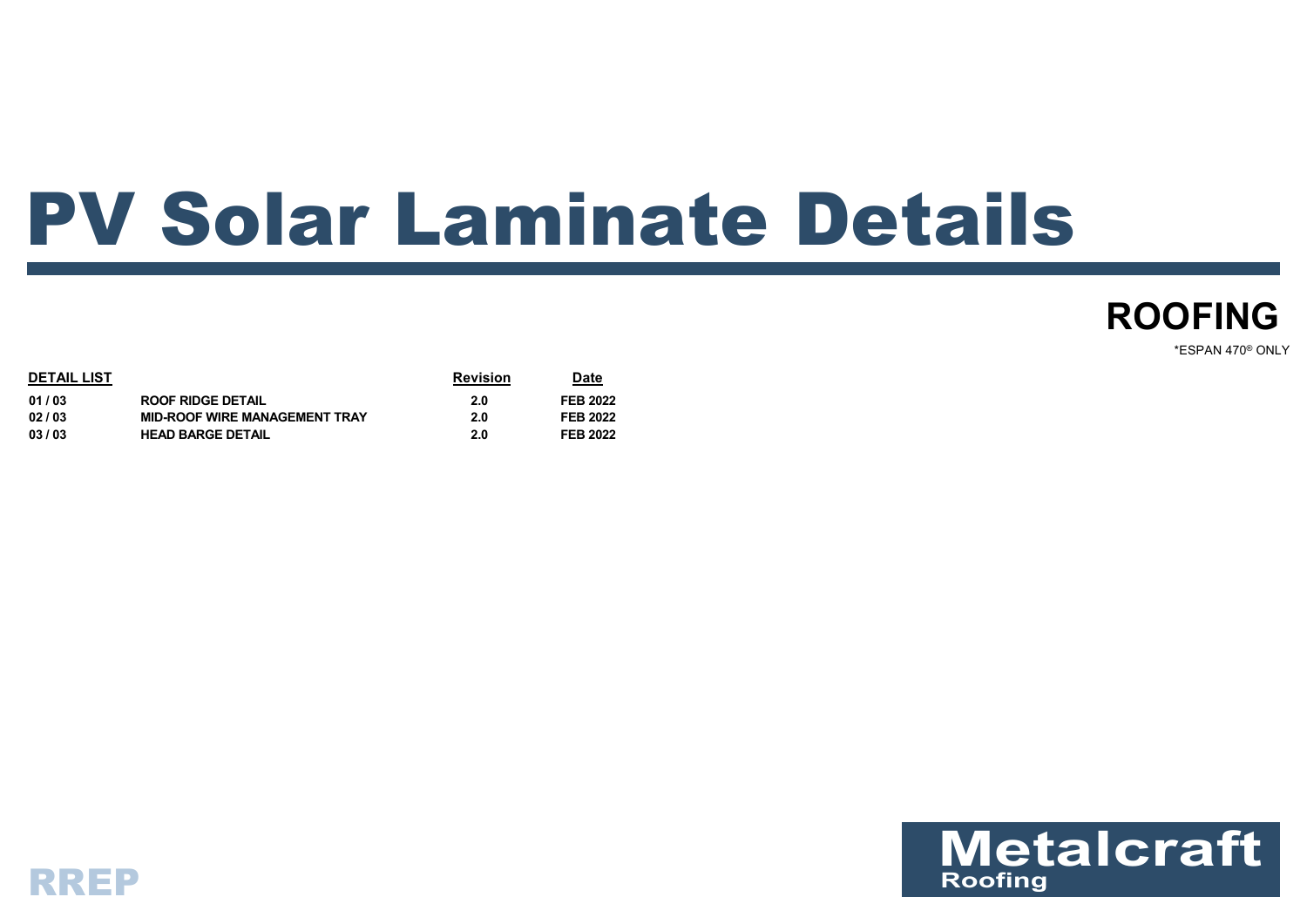## PV Solar Laminate Details



\*ESPAN 470® ONLY

| <b>DETAIL LIST</b> |                                      | <b>Revision</b> | Date            |
|--------------------|--------------------------------------|-----------------|-----------------|
| 01/03              | <b>ROOF RIDGE DETAIL</b>             | 2.0             | <b>FEB 2022</b> |
| 02/03              | <b>MID-ROOF WIRE MANAGEMENT TRAY</b> | 2.0             | <b>FEB 2022</b> |
| 03/03              | <b>HEAD BARGE DETAIL</b>             | 2.0             | <b>FEB 2022</b> |



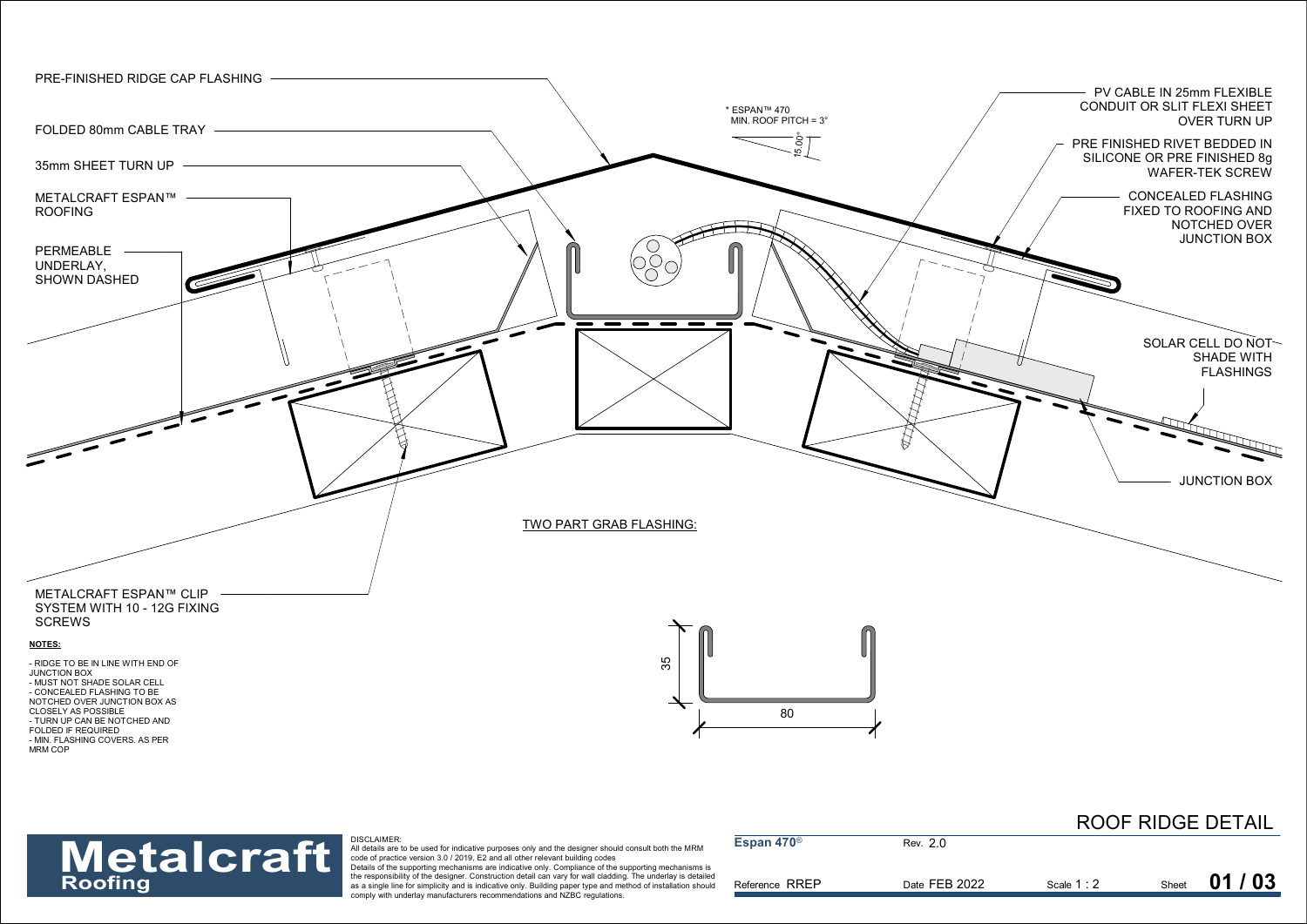

## **Metalcraft**

| <b>Metalcraft</b> | DISCLAIMER:<br>All details are to be used for indicative purposes only and the designer should consult both the MRM<br>code of practice version 3.0 / 2019, E2 and all other relevant building codes<br>Details of the supporting mechanisms are indicative only. Compliance of the supporting mechanisms is | Espan 470 $^{\circ}$ | Rev. 2.0      |             |       |       |
|-------------------|--------------------------------------------------------------------------------------------------------------------------------------------------------------------------------------------------------------------------------------------------------------------------------------------------------------|----------------------|---------------|-------------|-------|-------|
| Roofing           | the responsibility of the designer. Construction detail can vary for wall cladding. The underlay is detailed<br>as a single line for simplicity and is indicative only. Building paper type and method of installation should<br>comply with underlay manufacturers recommendations and NZBC regulations.    | Reference RREP       | Date FEB 2022 | Scale 1 : 2 | Sheet | 01/03 |

ROOF RIDGE DETAIL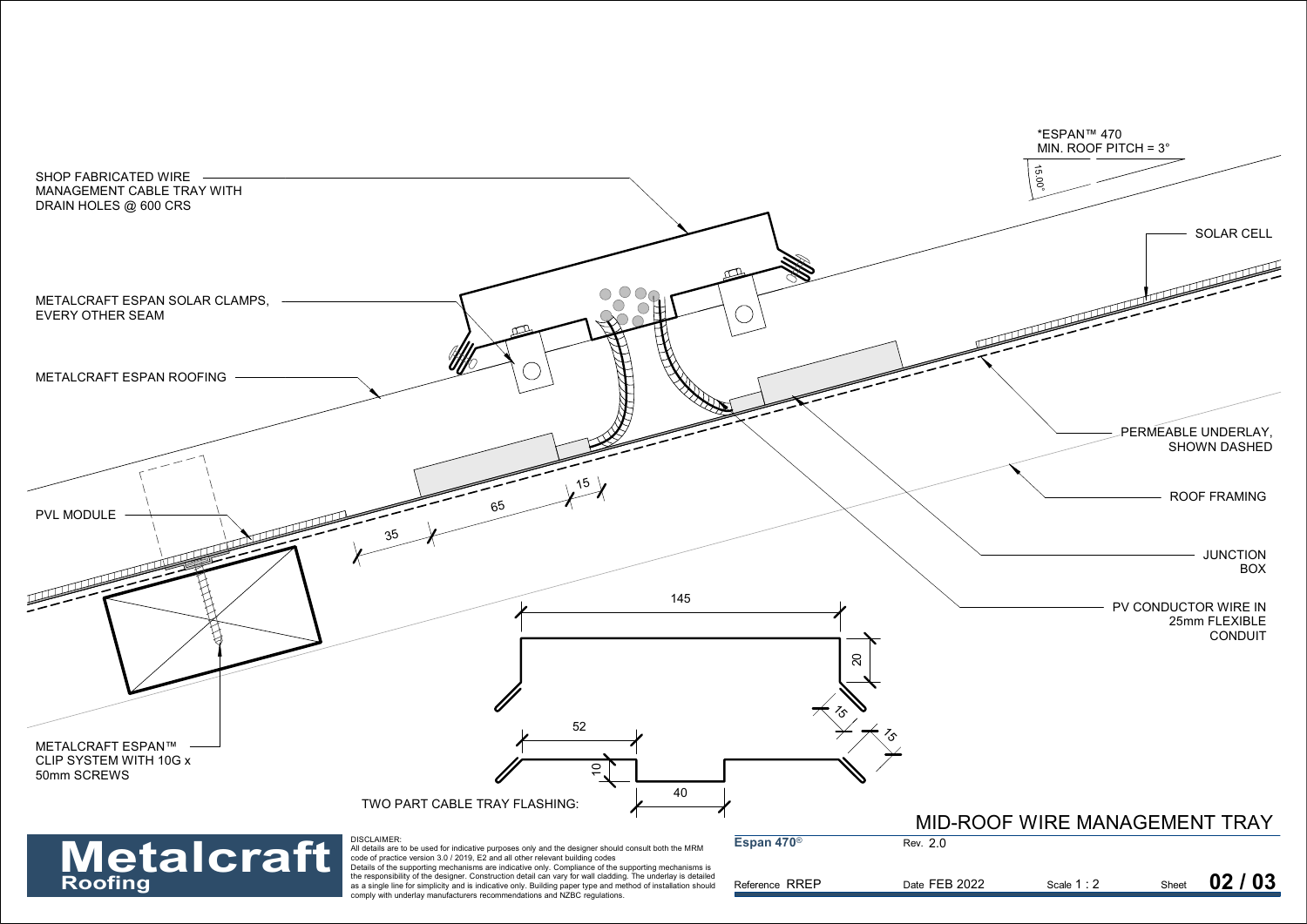